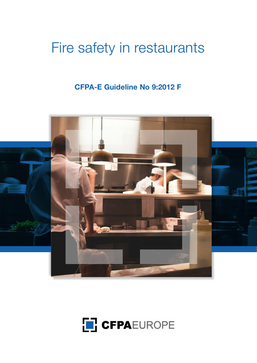# Fire safety in restaurants

# **CFPA-E Guideline No 9:2012 F**



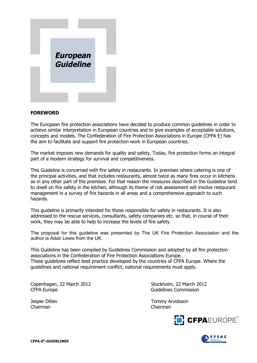

#### **FOREWORD**

The European fire protection associations have decided to produce common guidelines in order to achieve similar interpretation in European countries and to give examples of acceptable solutions, concepts and models. The Confederation of Fire Protection Associations in Europe (CFPA E) has the aim to facilitate and support fire protection work in European countries.

The market imposes new demands for quality and safety. Today, fire protection forms an integral part of a modern strategy for survival and competitiveness.

This Guideline is concerned with fire safety in restaurants. In premises where catering is one of the principal activities, and that includes restaurants, almost twice as many fires occur in kitchens as in any other part of the premises. For that reason the measures described in the Guideline tend to dwell on fire safety in the kitchen, although its theme of risk assessment will involve restaurant management in a survey of fire hazards in all areas and a comprehensive approach to such hazards.

This guideline is primarily intended for those responsible for safety in restaurants. It is also addressed to the rescue services, consultants, safety companies etc. so that, in course of their work, they may be able to help to increase the levels of fire safety.

The proposal for this guideline was presented by The UK Fire Protection Association and the author is Adair Lewis from the UK.

This Guideline has been compiled by Guidelines Commission and adopted by all fire protection associations in the Confederation of Fire Protection Associations Europe. These guidelines reflect best practice developed by the countries of CFPA Europe. Where the guidelines and national requirement conflict, national requirements must apply.

Copenhagen, 22 March 2012 Stockholm, 22 March 2012 CFPA Europe **Guidelines** Commission

Chairman Chairman

Jesper Ditlev Tommy Arvidsson



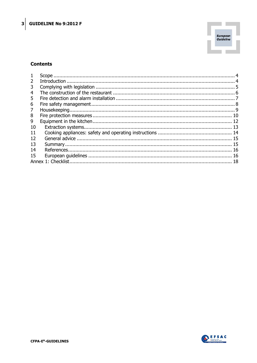

#### **Contents**

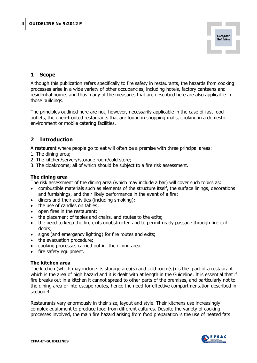

# <span id="page-3-0"></span>**1 Scope**

Although this publication refers specifically to fire safety in restaurants, the hazards from cooking processes arise in a wide variety of other occupancies, including hotels, factory canteens and residential homes and thus many of the measures that are described here are also applicable in those buildings.

The principles outlined here are not, however, necessarily applicable in the case of fast food outlets, the open-fronted restaurants that are found in shopping malls, cooking in a domestic environment or mobile catering facilities.

# <span id="page-3-1"></span>**2 Introduction**

A restaurant where people go to eat will often be a premise with three principal areas:

- 1. The dining area;
- 2. The kitchen/servery/storage room/cold store;
- 3. The cloakrooms; all of which should be subject to a fire risk assessment.

#### **The dining area**

The risk assessment of the dining area (which may include a bar) will cover such topics as:

- combustible materials such as elements of the structure itself, the surface linings, decorations and furnishings, and their likely performance in the event of a fire;
- diners and their activities (including smoking);
- the use of candles on tables:
- open fires in the restaurant;
- the placement of tables and chairs, and routes to the exits;
- the need to keep the fire exits unobstructed and to permit ready passage through fire exit doors;
- signs (and emergency lighting) for fire routes and exits;
- the evacuation procedure;
- cooking processes carried out in the dining area;
- fire safety equipment.

#### **The kitchen area**

The kitchen (which may include its storage area(s) and cold room(s)) is the part of a restaurant which is the area of high hazard and it is dealt with at length in the Guideline. It is essential that if fire breaks out in a kitchen it cannot spread to other parts of the premises, and particularly not to the dining area or into escape routes, hence the need for effective compartmentation described in section 4.

Restaurants vary enormously in their size, layout and style. Their kitchens use increasingly complex equipment to produce food from different cultures. Despite the variety of cooking processes involved, the main fire hazard arising from food preparation is the use of heated fats

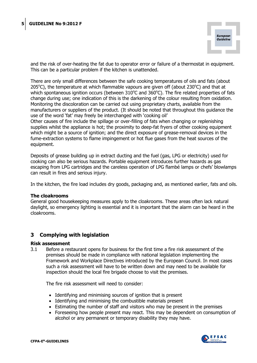

and the risk of over-heating the fat due to operator error or failure of a thermostat in equipment. This can be a particular problem if the kitchen is unattended.

There are only small differences between the safe cooking temperatures of oils and fats (about  $205^{\circ}$ C), the temperature at which flammable vapours are given off (about 230 $^{\circ}$ C) and that at which spontaneous ignition occurs (between 310°C and 360°C). The fire related properties of fats change during use; one indication of this is the darkening of the colour resulting from oxidation. Monitoring the discoloration can be carried out using proprietary charts, available from the manufacturers or suppliers of the product. (It should be noted that throughout this guidance the use of the word 'fat' may freely be interchanged with 'cooking oil'

Other causes of fire include the spillage or over-filling of fats when changing or replenishing supplies whilst the appliance is hot; the proximity to deep-fat fryers of other cooking equipment which might be a source of ignition; and the direct exposure of grease-removal devices in the fume-extraction systems to flame impingement or hot flue gases from the heat sources of the equipment.

Deposits of grease building up in extract ducting and the fuel (gas, LPG or electricity) used for cooking can also be serious hazards. Portable equipment introduces further hazards as gas escaping from LPG cartridges and the careless operation of LPG flambé lamps or chefs' blowlamps can result in fires and serious injury.

In the kitchen, the fire load includes dry goods, packaging and, as mentioned earlier, fats and oils.

#### **The cloakrooms**

General good housekeeping measures apply to the cloakrooms. These areas often lack natural daylight, so emergency lighting is essential and it is important that the alarm can be heard in the cloakrooms.

# <span id="page-4-0"></span>**3 Complying with legislation**

#### **Risk assessment**

3.1 Before a restaurant opens for business for the first time a fire risk assessment of the premises should be made in compliance with national legislation implementing the Framework and Workplace Directives introduced by the European Council. In most cases such a risk assessment will have to be written down and may need to be available for inspection should the local fire brigade choose to visit the premises.

The fire risk assessment will need to consider:

- Identifying and minimising sources of ignition that is present
- Identifying and minimising the combustible materials present
- Estimating the number of staff and visitors who may be present in the premises
- Foreseeing how people present may react. This may be dependent on consumption of alcohol or any permanent or temporary disability they may have.

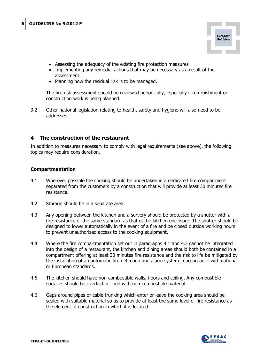

- Assessing the adequacy of the existing fire protection measures
- Implementing any remedial actions that may be necessary as a result of the assessment
- Planning how the residual risk is to be managed.

The fire risk assessment should be reviewed periodically, especially if refurbishment or construction work is being planned.

3.2 Other national legislation relating to health, safety and hygiene will also need to be addressed.

# <span id="page-5-0"></span>**4 The construction of the restaurant**

In addition to measures necessary to comply with legal requirements (see above), the following topics may require consideration.

#### **Compartmentation**

- 4.1 Wherever possible the cooking should be undertaken in a dedicated fire compartment separated from the customers by a construction that will provide at least 30 minutes fire resistance.
- 4.2 Storage should be in a separate area.
- 4.3 Any opening between the kitchen and a servery should be protected by a shutter with a fire resistance of the same standard as that of the kitchen enclosure. The shutter should be designed to lower automatically in the event of a fire and be closed outside working hours to prevent unauthorized access to the cooking equipment.
- 4.4 Where the fire compartmentation set out in paragraphs 4.1 and 4.3 cannot be integrated into the design of a restaurant, the kitchen and dining areas should both be contained in a compartment offering at least 30 minutes fire resistance and the risk to life be mitigated by the installation of an automatic fire detection and alarm system in accordance with national or European standards.
- 4.5 The kitchen should have non-combustible walls, floors and ceiling. Any combustible surfaces should be overlaid or lined with non-combustible material.
- 4.6 Gaps around pipes or cable trunking which enter or leave the cooking area should be sealed with suitable material so as to provide at least the same level of fire resistance as the element of construction in which it is located.

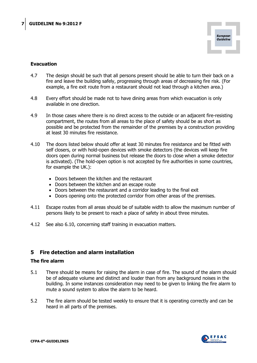

#### **Evacuation**

- 4.7 The design should be such that all persons present should be able to turn their back on a fire and leave the building safely, progressing through areas of decreasing fire risk. (For example, a fire exit route from a restaurant should not lead through a kitchen area.)
- 4.8 Every effort should be made not to have dining areas from which evacuation is only available in one direction.
- 4.9 In those cases where there is no direct access to the outside or an adjacent fire-resisting compartment, the routes from all areas to the place of safety should be as short as possible and be protected from the remainder of the premises by a construction providing at least 30 minutes fire resistance.
- 4.10 The doors listed below should offer at least 30 minutes fire resistance and be fitted with self closers, or with hold-open devices with smoke detectors (the devices will keep fire doors open during normal business but release the doors to close when a smoke detector is activated). (The hold-open option is not accepted by fire authorities in some countries, for example the UK.):
	- Doors between the kitchen and the restaurant
	- Doors between the kitchen and an escape route
	- Doors between the restaurant and a corridor leading to the final exit
	- Doors opening onto the protected corridor from other areas of the premises.
- 4.11 Escape routes from all areas should be of suitable width to allow the maximum number of persons likely to be present to reach a place of safety in about three minutes.
- 4.12 See also 6.10, concerning staff training in evacuation matters.

# <span id="page-6-0"></span>**5 Fire detection and alarm installation**

#### **The fire alarm**

- 5.1 There should be means for raising the alarm in case of fire. The sound of the alarm should be of adequate volume and distinct and louder than from any background noises in the building. In some instances consideration may need to be given to linking the fire alarm to mute a sound system to allow the alarm to be heard.
- 5.2 The fire alarm should be tested weekly to ensure that it is operating correctly and can be heard in all parts of the premises.

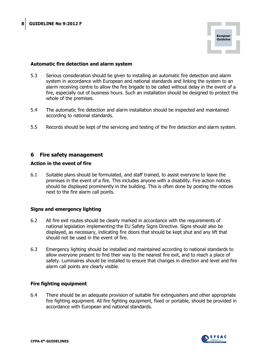

#### **Automatic fire detection and alarm system**

- 5.3 Serious consideration should be given to installing an automatic fire detection and alarm system in accordance with European and national standards and linking the system to an alarm receiving centre to allow the fire brigade to be called without delay in the event of a fire, especially out of business hours. Such an installation should be designed to protect the whole of the premises.
- 5.4 The automatic fire detection and alarm installation should be inspected and maintained according to national standards.
- 5.5 Records should be kept of the servicing and testing of the fire detection and alarm system.

#### <span id="page-7-0"></span>**6 Fire safety management**

#### **Action in the event of fire**

6.1 Suitable plans should be formulated, and staff trained, to assist everyone to leave the premises in the event of a fire. This includes anyone with a disability. Fire action notices should be displayed prominently in the building. This is often done by posting the notices next to the fire alarm call points.

#### **Signs and emergency lighting**

- 6.2 All fire exit routes should be clearly marked in accordance with the requirements of national legislation implementing the EU Safety Signs Directive. Signs should also be displayed, as necessary, indicating fire doors that should be kept shut and any lift that should not be used in the event of fire.
- 6.3 Emergency lighting should be installed and maintained according to national standards to allow everyone present to find their way to the nearest fire exit, and to reach a place of safety. Luminaires should be installed to ensure that changes in direction and level and fire alarm call points are clearly visible.

#### **Fire fighting equipment**

6.4 There should be an adequate provision of suitable fire extinguishers and other appropriate fire fighting equipment. All fire fighting equipment, fixed or portable, should be provided in accordance with European and national standards.

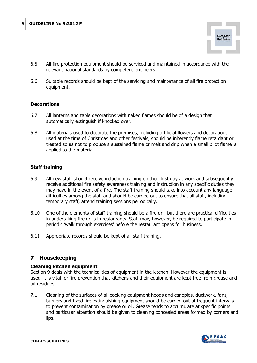

- 6.5 All fire protection equipment should be serviced and maintained in accordance with the relevant national standards by competent engineers.
- 6.6 Suitable records should be kept of the servicing and maintenance of all fire protection equipment.

#### **Decorations**

- 6.7 All lanterns and table decorations with naked flames should be of a design that automatically extinguish if knocked over.
- 6.8 All materials used to decorate the premises, including artificial flowers and decorations used at the time of Christmas and other festivals, should be inherently flame retardant or treated so as not to produce a sustained flame or melt and drip when a small pilot flame is applied to the material.

# **Staff training**

- 6.9 All new staff should receive induction training on their first day at work and subsequently receive additional fire safety awareness training and instruction in any specific duties they may have in the event of a fire. The staff training should take into account any language difficulties among the staff and should be carried out to ensure that all staff, including temporary staff, attend training sessions periodically.
- 6.10 One of the elements of staff training should be a fire drill but there are practical difficulties in undertaking fire drills in restaurants. Staff may, however, be required to participate in periodic 'walk through exercises' before the restaurant opens for business.
- 6.11 Appropriate records should be kept of all staff training.

# <span id="page-8-0"></span>**7 Housekeeping**

#### **Cleaning kitchen equipment**

Section 9 deals with the technicalities of equipment in the kitchen. However the equipment is used, it is vital for fire prevention that kitchens and their equipment are kept free from grease and oil residues.

7.1 Cleaning of the surfaces of all cooking equipment hoods and canopies, ductwork, fans, burners and fixed fire extinguishing equipment should be carried out at frequent intervals to prevent contamination by grease or oil. Grease tends to accumulate at specific points and particular attention should be given to cleaning concealed areas formed by corners and lips.

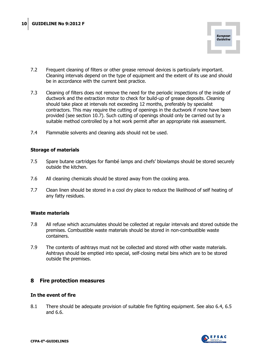

- 7.2 Frequent cleaning of filters or other grease removal devices is particularly important. Cleaning intervals depend on the type of equipment and the extent of its use and should be in accordance with the current best practice.
- 7.3 Cleaning of filters does not remove the need for the periodic inspections of the inside of ductwork and the extraction motor to check for build-up of grease deposits. Cleaning should take place at intervals not exceeding 12 months, preferably by specialist contractors. This may require the cutting of openings in the ductwork if none have been provided (see section 10.7). Such cutting of openings should only be carried out by a suitable method controlled by a hot work permit after an appropriate risk assessment.
- 7.4 Flammable solvents and cleaning aids should not be used.

#### **Storage of materials**

- 7.5 Spare butane cartridges for flambé lamps and chefs' blowlamps should be stored securely outside the kitchen.
- 7.6 All cleaning chemicals should be stored away from the cooking area.
- 7.7 Clean linen should be stored in a cool dry place to reduce the likelihood of self heating of any fatty residues.

#### **Waste materials**

- 7.8 All refuse which accumulates should be collected at regular intervals and stored outside the premises. Combustible waste materials should be stored in non-combustible waste containers.
- 7.9 The contents of ashtrays must not be collected and stored with other waste materials. Ashtrays should be emptied into special, self-closing metal bins which are to be stored outside the premises.

# <span id="page-9-0"></span>**8 Fire protection measures**

#### **In the event of fire**

8.1 There should be adequate provision of suitable fire fighting equipment. See also 6.4, 6.5 and 6.6.

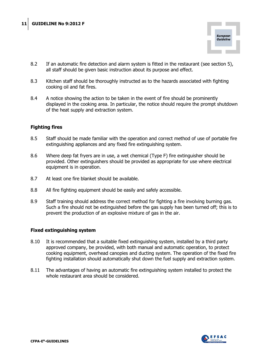

- 8.2 If an automatic fire detection and alarm system is fitted in the restaurant (see section 5), all staff should be given basic instruction about its purpose and effect.
- 8.3 Kitchen staff should be thoroughly instructed as to the hazards associated with fighting cooking oil and fat fires.
- 8.4 A notice showing the action to be taken in the event of fire should be prominently displayed in the cooking area. In particular, the notice should require the prompt shutdown of the heat supply and extraction system.

#### **Fighting fires**

- 8.5 Staff should be made familiar with the operation and correct method of use of portable fire extinguishing appliances and any fixed fire extinguishing system.
- 8.6 Where deep fat fryers are in use, a wet chemical (Type F) fire extinguisher should be provided. Other extinguishers should be provided as appropriate for use where electrical equipment is in operation.
- 8.7 At least one fire blanket should be available.
- 8.8 All fire fighting equipment should be easily and safely accessible.
- 8.9 Staff training should address the correct method for fighting a fire involving burning gas. Such a fire should not be extinguished before the gas supply has been turned off; this is to prevent the production of an explosive mixture of gas in the air.

#### **Fixed extinguishing system**

- 8.10 It is recommended that a suitable fixed extinguishing system, installed by a third party approved company, be provided, with both manual and automatic operation, to protect cooking equipment, overhead canopies and ducting system. The operation of the fixed fire fighting installation should automatically shut down the fuel supply and extraction system.
- 8.11 The advantages of having an automatic fire extinguishing system installed to protect the whole restaurant area should be considered.

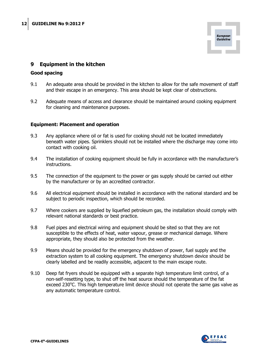

# <span id="page-11-0"></span>**9 Equipment in the kitchen**

#### **Good spacing**

- 9.1 An adequate area should be provided in the kitchen to allow for the safe movement of staff and their escape in an emergency. This area should be kept clear of obstructions.
- 9.2 Adequate means of access and clearance should be maintained around cooking equipment for cleaning and maintenance purposes.

#### **Equipment: Placement and operation**

- 9.3 Any appliance where oil or fat is used for cooking should not be located immediately beneath water pipes. Sprinklers should not be installed where the discharge may come into contact with cooking oil.
- 9.4 The installation of cooking equipment should be fully in accordance with the manufacturer's instructions.
- 9.5 The connection of the equipment to the power or gas supply should be carried out either by the manufacturer or by an accredited contractor.
- 9.6 All electrical equipment should be installed in accordance with the national standard and be subject to periodic inspection, which should be recorded.
- 9.7 Where cookers are supplied by liquefied petroleum gas, the installation should comply with relevant national standards or best practice.
- 9.8 Fuel pipes and electrical wiring and equipment should be sited so that they are not susceptible to the effects of heat, water vapour, grease or mechanical damage. Where appropriate, they should also be protected from the weather.
- 9.9 Means should be provided for the emergency shutdown of power, fuel supply and the extraction system to all cooking equipment. The emergency shutdown device should be clearly labelled and be readily accessible, adjacent to the main escape route.
- 9.10 Deep fat fryers should be equipped with a separate high temperature limit control, of a non-self-resetting type, to shut off the heat source should the temperature of the fat exceed 230°C. This high temperature limit device should not operate the same gas valve as any automatic temperature control.

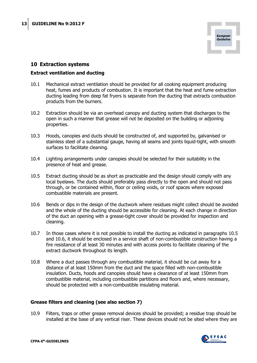

# <span id="page-12-0"></span>**10 Extraction systems**

#### **Extract ventilation and ducting**

- 10.1 Mechanical extract ventilation should be provided for all cooking equipment producing heat, fumes and products of combustion. It is important that the heat and fume extraction ducting leading from deep fat fryers is separate from the ducting that extracts combustion products from the burners.
- 10.2 Extraction should be via an overhead canopy and ducting system that discharges to the open in such a manner that grease will not be deposited on the building or adjoining properties.
- 10.3 Hoods, canopies and ducts should be constructed of, and supported by, galvanised or stainless steel of a substantial gauge, having all seams and joints liquid-tight, with smooth surfaces to facilitate cleaning.
- 10.4 Lighting arrangements under canopies should be selected for their suitability in the presence of heat and grease.
- 10.5 Extract ducting should be as short as practicable and the design should comply with any local byelaws. The ducts should preferably pass directly to the open and should not pass through, or be contained within, floor or ceiling voids, or roof spaces where exposed combustible materials are present.
- 10.6 Bends or dips in the design of the ductwork where residues might collect should be avoided and the whole of the ducting should be accessible for cleaning. At each change in direction of the duct an opening with a grease-tight cover should be provided for inspection and cleaning.
- 10.7 In those cases where it is not possible to install the ducting as indicated in paragraphs 10.5 and 10.6, it should be enclosed in a service shaft of non-combustible construction having a fire resistance of at least 30 minutes and with access points to facilitate cleaning of the extract ductwork throughout its length.
- 10.8 Where a duct passes through any combustible material, it should be cut away for a distance of at least 150mm from the duct and the space filled with non-combustible insulation. Ducts, hoods and canopies should have a clearance of at least 150mm from combustible material, including combustible partitions and floors and, where necessary, should be protected with a non-combustible insulating material.

#### **Grease filters and cleaning (see also section 7)**

10.9 Filters, traps or other grease removal devices should be provided; a residue trap should be installed at the base of any vertical riser. These devices should not be sited where they are

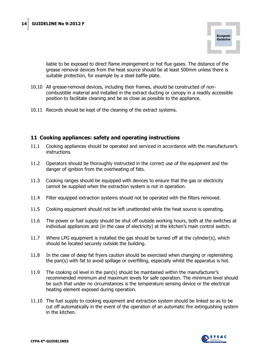

liable to be exposed to direct flame impingement or hot flue gases. The distance of the grease removal devices from the heat source should be at least 500mm unless there is suitable protection, for example by a steel baffle plate.

- 10.10 All grease-removal devices, including their frames, should be constructed of noncombustible material and installed in the extract ducting or canopy in a readily accessible position to facilitate cleaning and be as close as possible to the appliance.
- 10.11 Records should be kept of the cleaning of the extract systems.

# <span id="page-13-0"></span>**11 Cooking appliances: safety and operating instructions**

- 11.1 Cooking appliances should be operated and serviced in accordance with the manufacturer's instructions.
- 11.2 Operators should be thoroughly instructed in the correct use of the equipment and the danger of ignition from the overheating of fats.
- 11.3 Cooking ranges should be equipped with devices to ensure that the gas or electricity cannot be supplied when the extraction system is not in operation.
- 11.4 Filter equipped extraction systems should not be operated with the filters removed.
- 11.5 Cooking equipment should not be left unattended while the heat source is operating.
- 11.6 The power or fuel supply should be shut off outside working hours, both at the switches at individual appliances and (in the case of electricity) at the kitchen's main control switch.
- 11.7 Where LPG equipment is installed the gas should be turned off at the cylinder(s), which should be located securely outside the building.
- 11.8 In the case of deep fat fryers caution should be exercised when changing or replenishing the pan(s) with fat to avoid spillage or overfilling, especially whilst the apparatus is hot.
- 11.9 The cooking oil level in the pan(s) should be maintained within the manufacturer's recommended minimum and maximum levels for safe operation. The minimum level should be such that under no circumstances is the temperature sensing device or the electrical heating element exposed during operation.
- 11.10 The fuel supply to cooking equipment and extraction system should be linked so as to be cut off automatically in the event of the operation of an automatic fire extinguishing system in the kitchen.

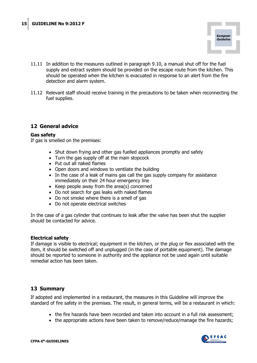

- 11.11 In addition to the measures outlined in paragraph 9.10, a manual shut off for the fuel supply and extract system should be provided on the escape route from the kitchen. This should be operated when the kitchen is evacuated in response to an alert from the fire detection and alarm system.
- 11.12 Relevant staff should receive training in the precautions to be taken when reconnecting the fuel supplies.

# <span id="page-14-0"></span>**12 General advice**

# **Gas safety**

If gas is smelled on the premises:

- Shut down frying and other gas fuelled appliances promptly and safely
- Turn the gas supply off at the main stopcock
- Put out all naked flames
- Open doors and windows to ventilate the building
- In the case of a leak of mains gas call the gas supply company for assistance immediately on their 24 hour emergency line
- Keep people away from the area(s) concerned
- Do not search for gas leaks with naked flames
- Do not smoke where there is a smell of gas
- Do not operate electrical switches

In the case of a gas cylinder that continues to leak after the valve has been shut the supplier should be contacted for advice.

#### **Electrical safety**

If damage is visible to electrical; equipment in the kitchen, or the plug or flex associated with the item, it should be switched off and unplugged (in the case of portable equipment). The damage should be reported to someone in authority and the appliance not be used again until suitable remedial action has been taken.

# <span id="page-14-1"></span>**13 Summary**

If adopted and implemented in a restaurant, the measures in this Guideline will improve the standard of fire safety in the premises. The result, in general terms, will be a restaurant in which:

- the fire hazards have been recorded and taken into account in a full risk assessment:
- the appropriate actions have been taken to remove/reduce/manage the fire hazards;

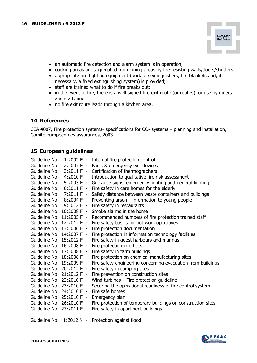

- an automatic fire detection and alarm system is in operation;
- cooking areas are segregated from dining areas by fire-resisting walls/doors/shutters;
- appropriate fire fighting equipment (portable extinguishers, fire blankets and, if necessary, a fixed extinguishing system) is provided;
- staff are trained what to do if fire breaks out;
- in the event of fire, there is a well signed fire exit route (or routes) for use by diners and staff; and
- no fire exit route leads through a kitchen area.

# <span id="page-15-0"></span>**14 References**

<span id="page-15-1"></span>CEA 4007, Fire protection systems- specifications for  $CO<sub>2</sub>$  systems – planning and installation, Comité européen des assurances, 2003.

# **15 European guidelines**

| Guideline No             | $1:2002 F -$              | Internal fire protection control                             |
|--------------------------|---------------------------|--------------------------------------------------------------|
| Guideline No             | $2:2007 F -$              | Panic & emergency exit devices                               |
| Guideline No             | $3:2011 F -$              | Certification of thermographers                              |
| Guideline No             | $4:2010 F -$              | Introduction to qualitative fire risk assessment             |
| Guideline No             | $5:2003 F -$              | Guidance signs, emergency lighting and general lighting      |
| Guideline No             | $6:2011 F -$              | Fire safety in care homes for the elderly                    |
| Guideline No             | $7:2011 F -$              | Safety distance between waste containers and buildings       |
| Guideline No             | $8:2004 F -$              | Preventing arson $-$ information to young people             |
|                          | Guideline No $9:2012 F -$ | Fire safety in restaurants                                   |
| Guideline No             | $10:2008 F -$             | Smoke alarms in the home                                     |
| Guideline No             | $11:2005 F -$             | Recommended numbers of fire protection trained staff         |
| Guideline No             | $12:2012 F -$             | Fire safety basics for hot work operatives                   |
| Guideline No             | 13:2006 F -               | Fire protection documentation                                |
| Guideline No             | 14:2007 F -               | Fire protection in information technology facilities         |
|                          | Guideline No 15:2012 F -  | Fire safety in guest harbours and marinas                    |
| Guideline No             | 16:2008 F -               | Fire protection in offices                                   |
| Guideline No             | 17:2008 F -               | Fire safety in farm buildings                                |
| Guideline No             | 18:2008 F -               | Fire protection on chemical manufacturing sites              |
|                          | Guideline No 19:2009 F -  | Fire safety engineering concerning evacuation from buildings |
|                          | Guideline No 20:2012 F -  | Fire safety in camping sites                                 |
| Guideline No             | 21:2012 F -               | Fire prevention on construction sites                        |
|                          | Guideline No 22:2010 F -  | Wind turbines $-$ Fire protection guideline                  |
| Guideline No 23:2010 F - |                           | Securing the operational readiness of fire control system    |
| Guideline No             | 24:2010 F -               | Fire safe homes                                              |
|                          | Guideline No 25:2010 F -  | Emergency plan                                               |
|                          | Guideline No 26:2010 F -  | Fire protection of temporary buildings on construction sites |
| Guideline No             | 27:2011 F -               | Fire safety in apartment buildings                           |
| Guideline No             |                           | 1:2012 N - Protection against flood                          |

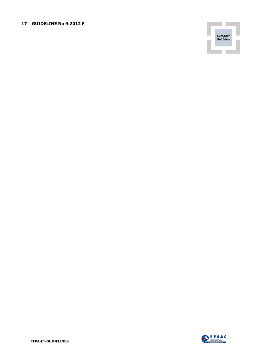

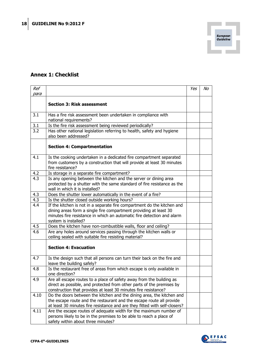

# <span id="page-17-0"></span>**Annex 1: Checklist**

| Ref  |                                                                                                                                                                                                                                                | Yes | No |
|------|------------------------------------------------------------------------------------------------------------------------------------------------------------------------------------------------------------------------------------------------|-----|----|
| para |                                                                                                                                                                                                                                                |     |    |
|      | <b>Section 3: Risk assessment</b>                                                                                                                                                                                                              |     |    |
| 3.1  | Has a fire risk assessment been undertaken in compliance with<br>national requirements?                                                                                                                                                        |     |    |
| 3.1  | Is the fire risk assessment being reviewed periodically?                                                                                                                                                                                       |     |    |
| 3.2  | Has other national legislation referring to health, safety and hygiene<br>also been addressed?                                                                                                                                                 |     |    |
|      | <b>Section 4: Compartmentation</b>                                                                                                                                                                                                             |     |    |
| 4.1  | Is the cooking undertaken in a dedicated fire compartment separated<br>from customers by a construction that will provide at least 30 minutes<br>fire resistance?                                                                              |     |    |
| 4.2  | Is storage in a separate fire compartment?                                                                                                                                                                                                     |     |    |
| 4.3  | Is any opening between the kitchen and the server or dining area<br>protected by a shutter with the same standard of fire resistance as the<br>wall in which it is installed?                                                                  |     |    |
| 4.3  | Does the shutter lower automatically in the event of a fire?                                                                                                                                                                                   |     |    |
| 4.3  | Is the shutter closed outside working hours?                                                                                                                                                                                                   |     |    |
| 4.4  | If the kitchen is not in a separate fire compartment do the kitchen and<br>dining areas form a single fire compartment providing at least 30<br>minutes fire resistance in which an automatic fire detection and alarm<br>system is installed? |     |    |
| 4.5  | Does the kitchen have non-combustible walls, floor and ceiling?                                                                                                                                                                                |     |    |
| 4.6  | Are any holes around services passing through the kitchen walls or<br>ceiling sealed with suitable fire resisting material?                                                                                                                    |     |    |
|      | <b>Section 4: Evacuation</b>                                                                                                                                                                                                                   |     |    |
| 4.7  | Is the design such that all persons can turn their back on the fire and<br>leave the building safely?                                                                                                                                          |     |    |
| 4.8  | Is the restaurant free of areas from which escape is only available in<br>one direction?                                                                                                                                                       |     |    |
| 4.9  | Are all escape routes to a place of safety away from the building as<br>direct as possible, and protected from other parts of the premises by<br>construction that provides at least 30 minutes fire resistance?                               |     |    |
| 4.10 | Do the doors between the kitchen and the dining area, the kitchen and<br>the escape route and the restaurant and the escape route all provide<br>at least 30 minutes fire resistance and are they fitted with self-closers?                    |     |    |
| 4.11 | Are the escape routes of adequate width for the maximum number of<br>persons likely to be in the premises to be able to reach a place of<br>safety within about three minutes?                                                                 |     |    |

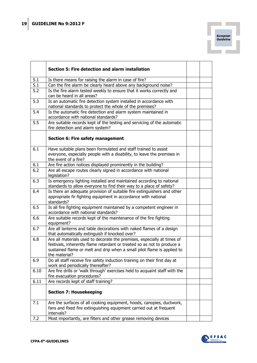

|      | <b>Section 5: Fire detection and alarm installation</b>                                                                                                                                                                                        |  |
|------|------------------------------------------------------------------------------------------------------------------------------------------------------------------------------------------------------------------------------------------------|--|
| 5.1  | Is there means for raising the alarm in case of fire?                                                                                                                                                                                          |  |
| 5.1  | Can the fire alarm be clearly heard above any background noise?                                                                                                                                                                                |  |
| 5.2  | Is the fire alarm tested weekly to ensure that it works correctly and<br>can be heard in all areas?                                                                                                                                            |  |
| 5.3  | Is an automatic fire detection system installed in accordance with<br>national standards to protect the whole of the premises?                                                                                                                 |  |
| 5.4  | Is the automatic fire detection and alarm system maintained in<br>accordance with national standards?                                                                                                                                          |  |
| 5.5  | Are suitable records kept of the testing and servicing of the automatic<br>fire detection and alarm system?                                                                                                                                    |  |
|      | <b>Section 6: Fire safety management</b>                                                                                                                                                                                                       |  |
| 6.1  | Have suitable plans been formulated and staff trained to assist<br>everyone, especially people with a disability, to leave the premises in<br>the event of a fire?                                                                             |  |
| 6.1  | Are fire action notices displayed prominently in the building?                                                                                                                                                                                 |  |
| 6.2  | Are all escape routes clearly signed in accordance with national<br>legislation?                                                                                                                                                               |  |
| 6.3  | Is emergency lighting installed and maintained according to national<br>standards to allow everyone to find their way to a place of safety?                                                                                                    |  |
| 6.4  | Is there an adequate provision of suitable fire extinguishers and other<br>appropriate fir fighting equipment in accordance with national<br>standards?                                                                                        |  |
| 6.5  | Is all fire fighting equipment maintained by a competent engineer in<br>accordance with national standards?                                                                                                                                    |  |
| 6.6  | Are suitable records kept of the maintenance of the fire fighting<br>equipment?                                                                                                                                                                |  |
| 6.7  | Are all lanterns and table decorations with naked flames of a design<br>that automatically extinguish if knocked over?                                                                                                                         |  |
| 6.8  | Are all materials used to decorate the premises, especially at times of<br>festivals, inherently flame retardant or treated so as not to produce a<br>sustained flame or melt and drip when a small pilot flame is applied to<br>the material? |  |
| 6.9  | Do all staff receive fire safety induction training on their first day at<br>work and periodically thereafter?                                                                                                                                 |  |
| 6.10 | Are fire drills or 'walk through' exercises held to acquaint staff with the<br>fire evacuation procedures?                                                                                                                                     |  |
| 6.11 | Are records kept of staff training?                                                                                                                                                                                                            |  |
|      | <b>Section 7: Housekeeping</b>                                                                                                                                                                                                                 |  |
| 7.1  | Are the surfaces of all cooking equipment, hoods, canopies, ductwork,<br>fans and fixed fire extinguishing equipment carried out at frequent<br>intervals?                                                                                     |  |
| 7.2  | Most importantly, are filters and other grease removing devices                                                                                                                                                                                |  |

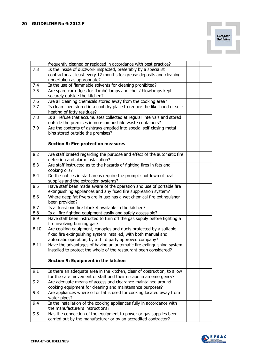

|                  | frequently cleaned or replaced in accordance with best practice?                   |  |
|------------------|------------------------------------------------------------------------------------|--|
| 7.3              | Is the inside of ductwork inspected, preferably by a specialist                    |  |
|                  | contractor, at least every 12 months for grease deposits and cleaning              |  |
|                  | undertaken as appropriate?                                                         |  |
| 7.4              | Is the use of flammable solvents for cleaning prohibited?                          |  |
| 7.5              | Are spare cartridges for flambé lamps and chefs' blowlamps kept                    |  |
|                  | securely outside the kitchen?                                                      |  |
| $\overline{7.6}$ | Are all cleaning chemicals stored away from the cooking area?                      |  |
| 7.7              | Is clean linen stored in a cool dry place to reduce the likelihood of self-        |  |
|                  | heating of fatty residues?                                                         |  |
| 7.8              | Is all refuse that accumulates collected at regular intervals and stored           |  |
|                  | outside the premises in non-combustible waste containers?                          |  |
| 7.9              | Are the contents of ashtrays emptied into special self-closing metal               |  |
|                  | bins stored outside the premises?                                                  |  |
|                  |                                                                                    |  |
|                  | <b>Section 8: Fire protection measures</b>                                         |  |
|                  |                                                                                    |  |
| 8.2              | Are staff briefed regarding the purpose and effect of the automatic fire           |  |
| 8.3              | detection and alarm installation?                                                  |  |
|                  | Are staff instructed as to the hazards of fighting fires in fats and               |  |
| 8.4              | cooking oils?<br>Do the notices in staff areas require the prompt shutdown of heat |  |
|                  | supplies and the extraction systems?                                               |  |
| 8.5              | Have staff been made aware of the operation and use of portable fire               |  |
|                  | extinguishing appliances and any fixed fire suppression system?                    |  |
| 8.6              | Where deep fat fryers are in use has a wet chemical fire extinguisher              |  |
|                  | been provided?                                                                     |  |
| 8.7              | Is at least one fire blanket available in the kitchen?                             |  |
| 8.8              | Is all fire fighting equipment easily and safely accessible?                       |  |
| 8.9              | Have staff been instructed to turn off the gas supply before fighting a            |  |
|                  | fire involving burning gas?                                                        |  |
| 8.10             | Are cooking equipment, canopies and ducts protected by a suitable                  |  |
|                  | fixed fire extinguishing system installed, with both manual and                    |  |
|                  | automatic operation, by a third party approved company?                            |  |
| 8.11             | Have the advantages of having an automatic fire extinguishing system               |  |
|                  | installed to protect the whole of the restaurant been considered?                  |  |
|                  |                                                                                    |  |
|                  | Section 9: Equipment in the kitchen                                                |  |
|                  |                                                                                    |  |
| 9.1              | Is there an adequate area in the kitchen, clear of obstruction, to allow           |  |
|                  | for the safe movement of staff and their escape in an emergency?                   |  |
| 9.2              | Are adequate means of access and clearance maintained around                       |  |
|                  | cooking equipment for cleaning and maintenance purposes?                           |  |
| 9.3              | Are appliances where oil or fat is used for cooking located away from              |  |
|                  | water pipes?                                                                       |  |
| 9.4              | Is the installation of the cooking appliances fully in accordance with             |  |
|                  | the manufacturer's instructions?                                                   |  |
| 9.5              | Has the connection of the equipment to power or gas supplies been                  |  |
|                  | carried out by the manufacturer or by an accredited contractor?                    |  |

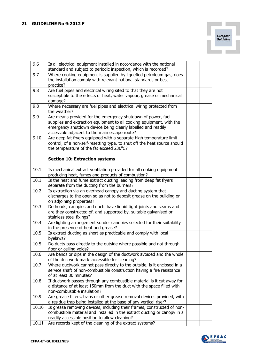

| 9.6   | Is all electrical equipment installed in accordance with the national     |  |
|-------|---------------------------------------------------------------------------|--|
|       | standard and subject to periodic inspection, which is recorded?           |  |
| 9.7   | Where cooking equipment is supplied by liquefied petroleum gas, does      |  |
|       | the installation comply with relevant national standards or best          |  |
|       | practice?                                                                 |  |
| 9.8   | Are fuel pipes and electrical wiring sited to that they are not           |  |
|       | susceptible to the effects of heat, water vapour, grease or mechanical    |  |
|       | damage?                                                                   |  |
| 9.8   | Where necessary are fuel pipes and electrical wiring protected from       |  |
|       | the weather?                                                              |  |
| 9.9   | Are means provided for the emergency shutdown of power, fuel              |  |
|       | supplies and extraction equipment to all cooking equipment, with the      |  |
|       | emergency shutdown device being clearly labelled and readily              |  |
|       | accessible adjacent to the main escape route?                             |  |
| 9.10  | Are deep fat fryers equipped with a separate high temperature limit       |  |
|       | control, of a non-self-resetting type, to shut off the heat source should |  |
|       | the temperature of the fat exceed 230°C?                                  |  |
|       |                                                                           |  |
|       | <b>Section 10: Extraction systems</b>                                     |  |
|       |                                                                           |  |
| 10.1  | Is mechanical extract ventilation provided for all cooking equipment      |  |
|       | producing heat, fumes and products of combustion?                         |  |
| 10.1  | Is the heat and fume extract ducting leading from deep fat fryers         |  |
|       | separate from the ducting from the burners?                               |  |
| 10.2  | Is extraction via an overhead canopy and ducting system that              |  |
|       | discharges to the open so as not to deposit grease on the building or     |  |
|       | on adjoining properties?                                                  |  |
| 10.3  | Do hoods, canopies and ducts have liquid tight joints and seams and       |  |
|       | are they constructed of, and supported by, suitable galvanised or         |  |
|       | stainless steel fixings?                                                  |  |
| 10.4  | Are lighting arrangement sunder canopies selected for their suitability   |  |
|       | in the presence of heat and grease?                                       |  |
| 10.5  | Is extract ducting as short as practicable and comply with local          |  |
|       | byelaws?                                                                  |  |
| 10.5  | Do ducts pass directly to the outside where possible and not through      |  |
|       | floor or ceiling voids?                                                   |  |
| 10.6  | Are bends or dips in the design of the ductwork avoided and the whole     |  |
|       | of the ductwork made accessible for cleaning?                             |  |
| 10.7  | Where ductwork cannot pass directly to the outside, is it enclosed in a   |  |
|       | service shaft of non-combustible construction having a fire resistance    |  |
|       | of at least 30 minutes?                                                   |  |
| 10.8  | If ductwork passes through any combustible material is it cut away for    |  |
|       | a distance of at least 150mm from the duct with the space filled with     |  |
|       | non-combustible insulation?                                               |  |
| 10.9  | Are grease filters, traps or other grease removal devices provided, with  |  |
|       | a residue trap being installed at the base of any vertical riser?         |  |
| 10.10 | Is grease removing devices, including their frames, constructed of non-   |  |
|       | combustible material and installed in the extract ducting or canopy in a  |  |
|       | readily accessible position to allow cleaning?                            |  |
| 10.11 | Are records kept of the cleaning of the extract systems?                  |  |